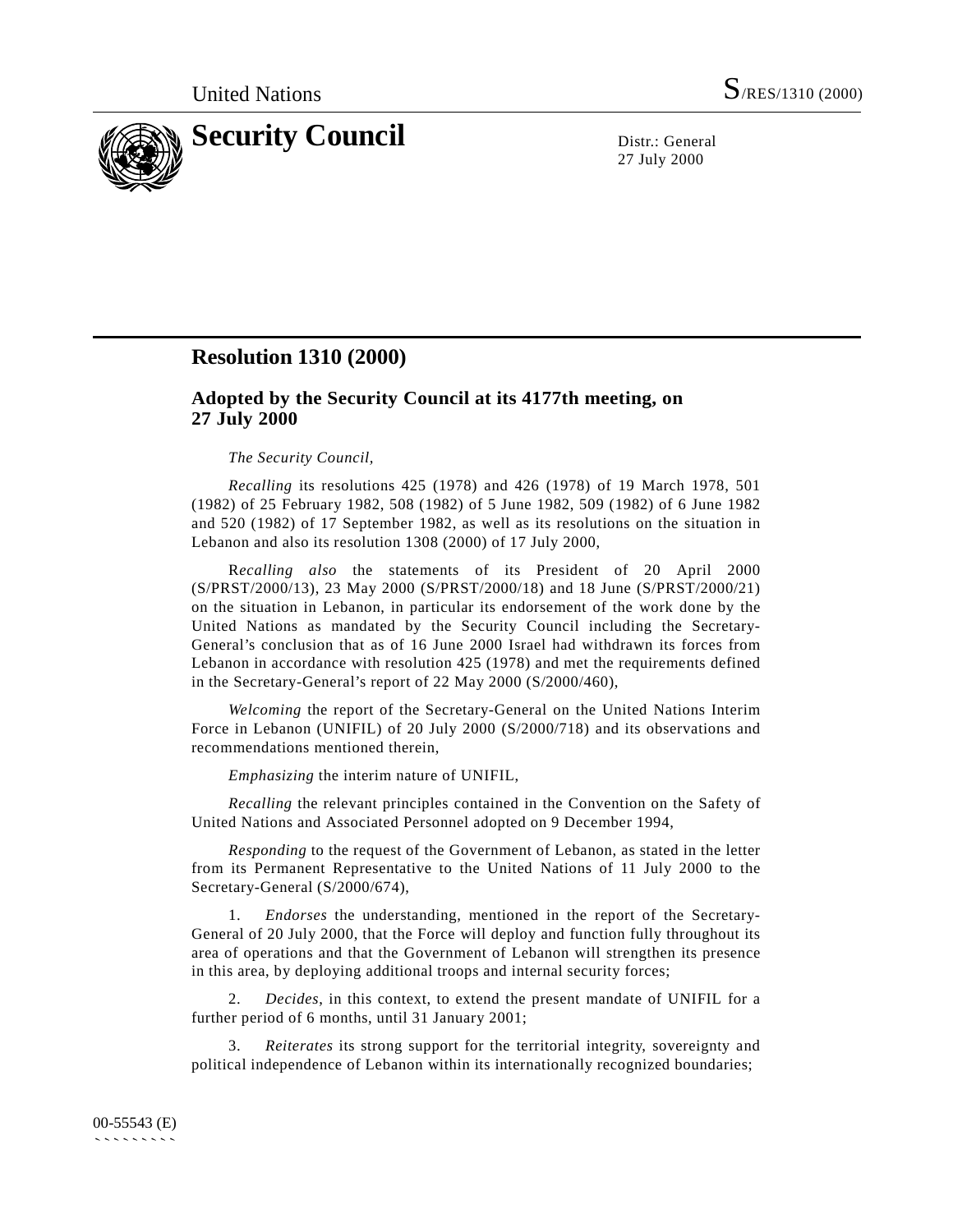

27 July 2000

## **Resolution 1310 (2000)**

## **Adopted by the Security Council at its 4177th meeting, on 27 July 2000**

## *The Security Council,*

*Recalling* its resolutions 425 (1978) and 426 (1978) of 19 March 1978, 501 (1982) of 25 February 1982, 508 (1982) of 5 June 1982, 509 (1982) of 6 June 1982 and 520 (1982) of 17 September 1982, as well as its resolutions on the situation in Lebanon and also its resolution 1308 (2000) of 17 July 2000,

R*ecalling also* the statements of its President of 20 April 2000 (S/PRST/2000/13), 23 May 2000 (S/PRST/2000/18) and 18 June (S/PRST/2000/21) on the situation in Lebanon, in particular its endorsement of the work done by the United Nations as mandated by the Security Council including the Secretary-General's conclusion that as of 16 June 2000 Israel had withdrawn its forces from Lebanon in accordance with resolution 425 (1978) and met the requirements defined in the Secretary-General's report of 22 May 2000 (S/2000/460),

*Welcoming* the report of the Secretary-General on the United Nations Interim Force in Lebanon (UNIFIL) of 20 July 2000 (S/2000/718) and its observations and recommendations mentioned therein,

*Emphasizing* the interim nature of UNIFIL,

*Recalling* the relevant principles contained in the Convention on the Safety of United Nations and Associated Personnel adopted on 9 December 1994,

*Responding* to the request of the Government of Lebanon, as stated in the letter from its Permanent Representative to the United Nations of 11 July 2000 to the Secretary-General (S/2000/674),

1. *Endorses* the understanding, mentioned in the report of the Secretary-General of 20 July 2000, that the Force will deploy and function fully throughout its area of operations and that the Government of Lebanon will strengthen its presence in this area, by deploying additional troops and internal security forces;

2. *Decides*, in this context, to extend the present mandate of UNIFIL for a further period of 6 months, until 31 January 2001;

3. *Reiterates* its strong support for the territorial integrity, sovereignty and political independence of Lebanon within its internationally recognized boundaries;